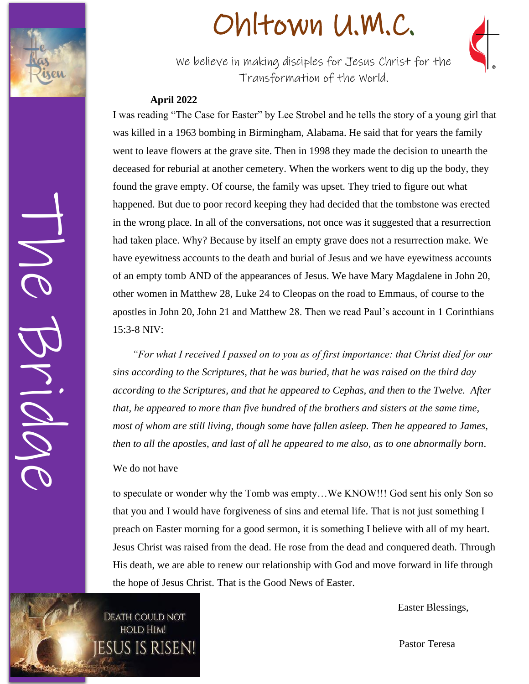

The Bridge

# Ohltown U.M.C .



We' We believe in making disciples for Jesus Christ for the Transformation of the World.

#### **April 2022**

I was reading "The Case for Easter" by Lee Strobel and he tells the story of a young girl that was killed in a 1963 bombing in Birmingham, Alabama. He said that for years the family went to leave flowers at the grave site. Then in 1998 they made the decision to unearth the deceased for reburial at another cemetery. When the workers went to dig up the body, they found the grave empty. Of course, the family was upset. They tried to figure out what happened. But due to poor record keeping they had decided that the tombstone was erected in the wrong place. In all of the conversations, not once was it suggested that a resurrection had taken place. Why? Because by itself an empty grave does not a resurrection make. We have eyewitness accounts to the death and burial of Jesus and we have eyewitness accounts of an empty tomb AND of the appearances of Jesus. We have Mary Magdalene in John 20, other women in Matthew 28, Luke 24 to Cleopas on the road to Emmaus, of course to the apostles in John 20, John 21 and Matthew 28. Then we read Paul's account in 1 Corinthians 15:3 - 8 NIV:

*"For what I received I passed on to you as of first importance: that Christ died for our sins according to the Scriptures, that he was buried, that he was raised on the third day according to the Scriptures, and that he appeared to Cephas, and then to the Twelve. After that, he appeared to more than five hundred of the brothers and sisters at the same time, most of whom are still living, though some have fallen asleep. Then he appeared to James, then to all the apostles, and last of all he appeared to me also, as to one abnormally born* .

#### We do not have

to speculate or wonder why the Tomb was empty…We KNOW!!! God sent his only Son so that you and I would have forgiveness of sins and eternal life. That is not just something I preach on Easter morning for a good sermon, it is something I believe with all of my heart. Jesus Christ was raised from the dead. He rose from the dead and conquered death. Through His death, we are able to renew our relationship with God and move forward in life through the hope of Jesus Christ. That is the Good News of Easter.

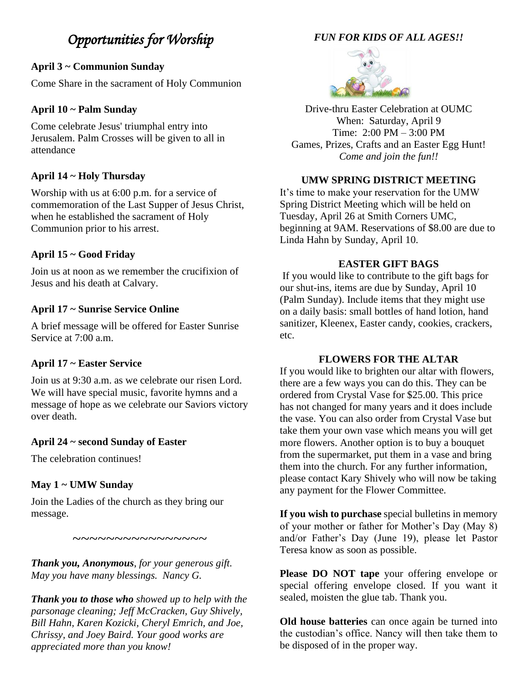### *Opportunities for Worship*

#### **April 3 ~ Communion Sunday**

Come Share in the sacrament of Holy Communion

#### **April 10 ~ Palm Sunday**

Come celebrate Jesus' triumphal entry into Jerusalem. Palm Crosses will be given to all in attendance

#### **April 14 ~ Holy Thursday**

Worship with us at 6:00 p.m. for a service of commemoration of the Last Supper of Jesus Christ, when he established the sacrament of Holy Communion prior to his arrest.

#### **April 15 ~ Good Friday**

Join us at noon as we remember the crucifixion of Jesus and his death at Calvary.

#### **April 17 ~ Sunrise Service Online**

A brief message will be offered for Easter Sunrise Service at 7:00 a.m.

#### **April 17 ~ Easter Service**

Join us at 9:30 a.m. as we celebrate our risen Lord. We will have special music, favorite hymns and a message of hope as we celebrate our Saviors victory over death.

#### **April 24 ~ second Sunday of Easter**

The celebration continues!

#### **May 1 ~ UMW Sunday**

Join the Ladies of the church as they bring our message.

*Thank you, Anonymous*, *for your generous gift. May you have many blessings. Nancy G.*

 $\sim\sim\sim\sim\sim\sim\sim\sim\sim\sim\sim\sim\sim$ 

*Thank you to those who showed up to help with the parsonage cleaning; Jeff McCracken, Guy Shively, Bill Hahn, Karen Kozicki, Cheryl Emrich, and Joe, Chrissy, and Joey Baird. Your good works are appreciated more than you know!* 

#### *FUN FOR KIDS OF ALL AGES!!*



Drive-thru Easter Celebration at OUMC When: Saturday, April 9 Time: 2:00 PM – 3:00 PM Games, Prizes, Crafts and an Easter Egg Hunt! *Come and join the fun!!*

#### **UMW SPRING DISTRICT MEETING**

It's time to make your reservation for the UMW Spring District Meeting which will be held on Tuesday, April 26 at Smith Corners UMC, beginning at 9AM. Reservations of \$8.00 are due to Linda Hahn by Sunday, April 10.

#### **EASTER GIFT BAGS**

If you would like to contribute to the gift bags for our shut-ins, items are due by Sunday, April 10 (Palm Sunday). Include items that they might use on a daily basis: small bottles of hand lotion, hand sanitizer, Kleenex, Easter candy, cookies, crackers, etc.

#### **FLOWERS FOR THE ALTAR**

If you would like to brighten our altar with flowers, there are a few ways you can do this. They can be ordered from Crystal Vase for \$25.00. This price has not changed for many years and it does include the vase. You can also order from Crystal Vase but take them your own vase which means you will get more flowers. Another option is to buy a bouquet from the supermarket, put them in a vase and bring them into the church. For any further information, please contact Kary Shively who will now be taking any payment for the Flower Committee.

**If you wish to purchase** special bulletins in memory of your mother or father for Mother's Day (May 8) and/or Father's Day (June 19), please let Pastor Teresa know as soon as possible.

**Please DO NOT tape** your offering envelope or special offering envelope closed. If you want it sealed, moisten the glue tab. Thank you.

**Old house batteries** can once again be turned into the custodian's office. Nancy will then take them to be disposed of in the proper way.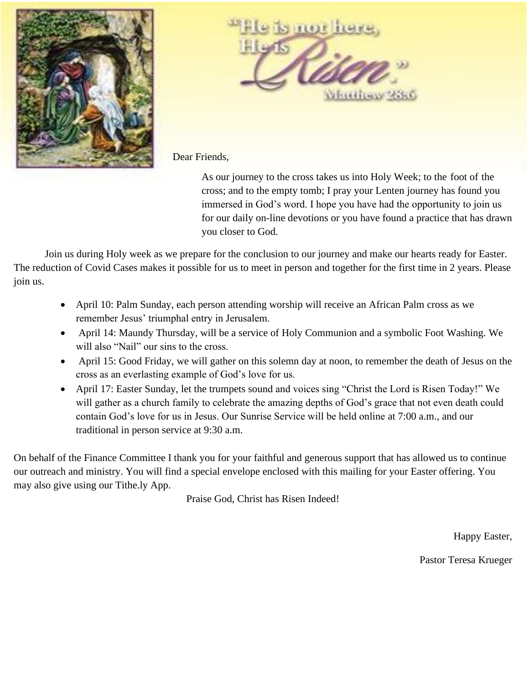



Dear Friends,

As our journey to the cross takes us into Holy Week; to the foot of the cross; and to the empty tomb; I pray your Lenten journey has found you immersed in God's word. I hope you have had the opportunity to join us for our daily on-line devotions or you have found a practice that has drawn you closer to God.

Join us during Holy week as we prepare for the conclusion to our journey and make our hearts ready for Easter. The reduction of Covid Cases makes it possible for us to meet in person and together for the first time in 2 years. Please join us.

- April 10: Palm Sunday, each person attending worship will receive an African Palm cross as we remember Jesus' triumphal entry in Jerusalem.
- April 14: Maundy Thursday, will be a service of Holy Communion and a symbolic Foot Washing. We will also "Nail" our sins to the cross.
- April 15: Good Friday, we will gather on this solemn day at noon, to remember the death of Jesus on the cross as an everlasting example of God's love for us.
- April 17: Easter Sunday, let the trumpets sound and voices sing "Christ the Lord is Risen Today!" We will gather as a church family to celebrate the amazing depths of God's grace that not even death could contain God's love for us in Jesus. Our Sunrise Service will be held online at 7:00 a.m., and our traditional in person service at 9:30 a.m.

On behalf of the Finance Committee I thank you for your faithful and generous support that has allowed us to continue our outreach and ministry. You will find a special envelope enclosed with this mailing for your Easter offering. You may also give using our Tithe.ly App.

Praise God, Christ has Risen Indeed!

Happy Easter,

Pastor Teresa Krueger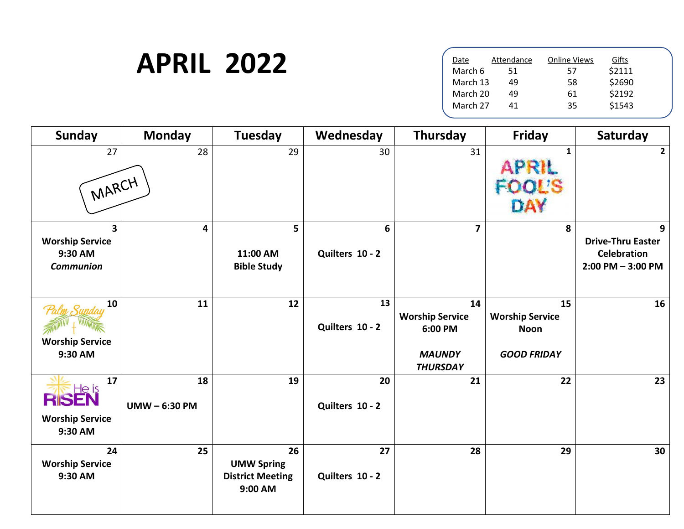## **APRIL 2022**

| Date     | Attendance | <b>Online Views</b> | Gifts  |  |
|----------|------------|---------------------|--------|--|
| March 6  | 51         | 57                  | \$2111 |  |
| March 13 | 49         | 58                  | \$2690 |  |
| March 20 | 49         | 61                  | \$2192 |  |
| March 27 | 41         | 35                  | \$1543 |  |
|          |            |                     |        |  |

| <b>Sunday</b>                                                         | <b>Monday</b>     | <b>Tuesday</b>                                                | Wednesday             | Thursday                                                                    | <b>Friday</b>                                                     | Saturday                                                                    |
|-----------------------------------------------------------------------|-------------------|---------------------------------------------------------------|-----------------------|-----------------------------------------------------------------------------|-------------------------------------------------------------------|-----------------------------------------------------------------------------|
| 27<br>MARCH                                                           | 28                | 29                                                            | 30                    | 31                                                                          | 1<br><b>APRIL</b><br><b>OL'S</b><br>DAY                           | $\overline{2}$                                                              |
| $\mathbf{3}$<br><b>Worship Service</b><br>9:30 AM<br><b>Communion</b> | 4                 | 5<br>11:00 AM<br><b>Bible Study</b>                           | 6<br>Quilters 10 - 2  | $\overline{\mathbf{z}}$                                                     | 8                                                                 | 9<br><b>Drive-Thru Easter</b><br><b>Celebration</b><br>$2:00$ PM $-3:00$ PM |
| 10<br><b>Worship Service</b><br>9:30 AM                               | 11                | 12                                                            | 13<br>Quilters 10 - 2 | 14<br><b>Worship Service</b><br>6:00 PM<br><b>MAUNDY</b><br><b>THURSDAY</b> | 15<br><b>Worship Service</b><br><b>Noon</b><br><b>GOOD FRIDAY</b> | 16                                                                          |
| 17<br><b>RISEN</b><br><b>Worship Service</b><br>9:30 AM               | 18<br>UMW-6:30 PM | 19                                                            | 20<br>Quilters 10 - 2 | 21                                                                          | 22                                                                | 23                                                                          |
| 24<br><b>Worship Service</b><br>9:30 AM                               | 25                | 26<br><b>UMW Spring</b><br><b>District Meeting</b><br>9:00 AM | 27<br>Quilters 10 - 2 | 28                                                                          | 29                                                                | 30                                                                          |